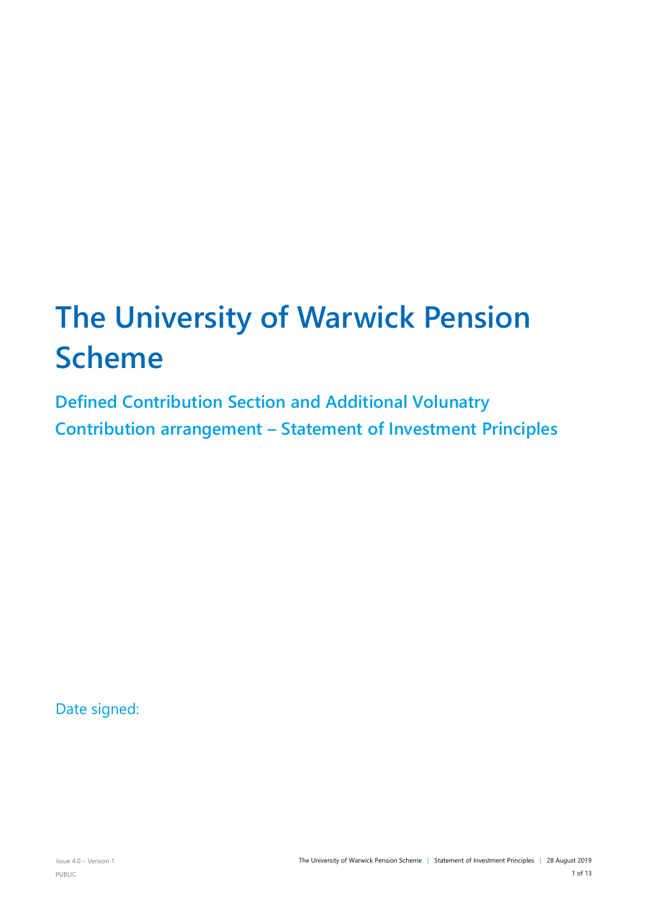# **The University of Warwick Pension Scheme**

**Defined Contribution Section and Additional Volunatry Contribution arrangement – Statement of Investment Principles**

Date signed: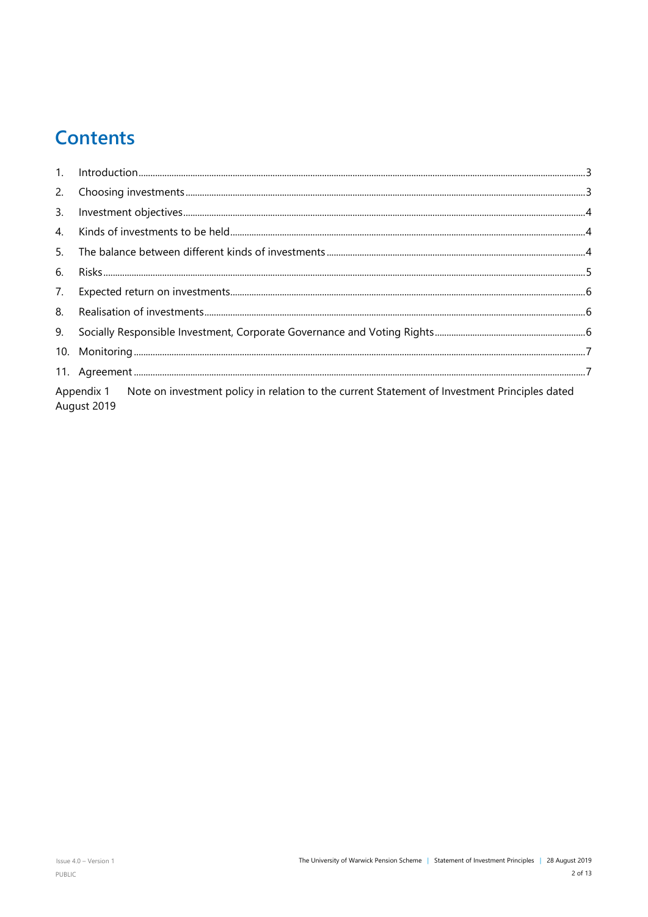# **Contents**

| 2.                                                                                                                      |  |  |  |
|-------------------------------------------------------------------------------------------------------------------------|--|--|--|
| 3.                                                                                                                      |  |  |  |
| 4.                                                                                                                      |  |  |  |
| 5.                                                                                                                      |  |  |  |
| 6.                                                                                                                      |  |  |  |
| 7.                                                                                                                      |  |  |  |
| 8.                                                                                                                      |  |  |  |
| 9.                                                                                                                      |  |  |  |
|                                                                                                                         |  |  |  |
|                                                                                                                         |  |  |  |
| Appendix 1 Note on investment policy in relation to the current Statement of Investment Principles dated<br>August 2019 |  |  |  |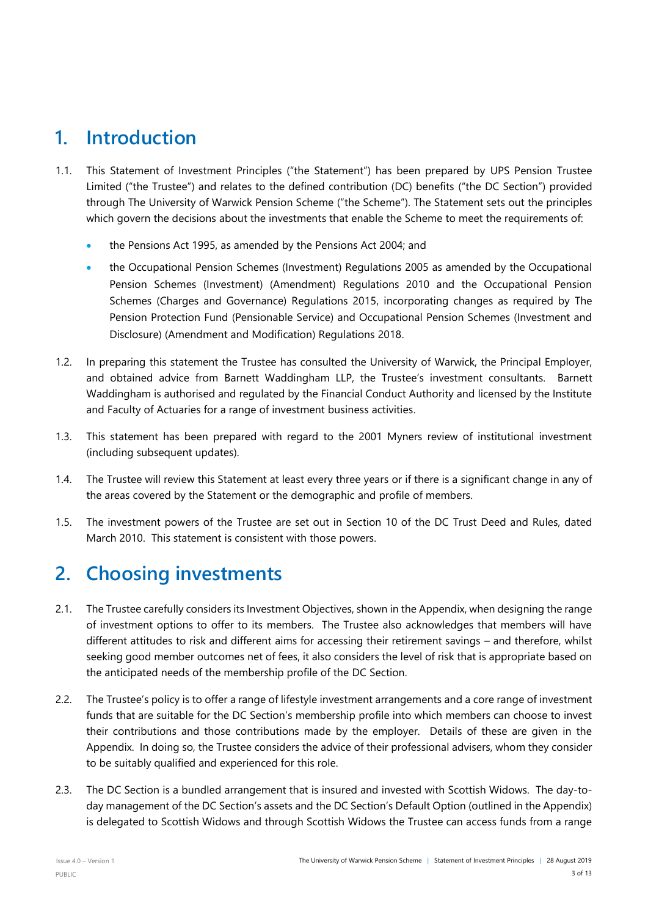# <span id="page-2-0"></span>**1. Introduction**

- 1.1. This Statement of Investment Principles ("the Statement") has been prepared by UPS Pension Trustee Limited ("the Trustee") and relates to the defined contribution (DC) benefits ("the DC Section") provided through The University of Warwick Pension Scheme ("the Scheme"). The Statement sets out the principles which govern the decisions about the investments that enable the Scheme to meet the requirements of:
	- the Pensions Act 1995, as amended by the Pensions Act 2004; and
	- the Occupational Pension Schemes (Investment) Regulations 2005 as amended by the Occupational Pension Schemes (Investment) (Amendment) Regulations 2010 and the Occupational Pension Schemes (Charges and Governance) Regulations 2015, incorporating changes as required by The Pension Protection Fund (Pensionable Service) and Occupational Pension Schemes (Investment and Disclosure) (Amendment and Modification) Regulations 2018.
- 1.2. In preparing this statement the Trustee has consulted the University of Warwick, the Principal Employer, and obtained advice from Barnett Waddingham LLP, the Trustee's investment consultants. Barnett Waddingham is authorised and regulated by the Financial Conduct Authority and licensed by the Institute and Faculty of Actuaries for a range of investment business activities.
- 1.3. This statement has been prepared with regard to the 2001 Myners review of institutional investment (including subsequent updates).
- 1.4. The Trustee will review this Statement at least every three years or if there is a significant change in any of the areas covered by the Statement or the demographic and profile of members.
- 1.5. The investment powers of the Trustee are set out in Section 10 of the DC Trust Deed and Rules, dated March 2010. This statement is consistent with those powers.

# <span id="page-2-1"></span>**2. Choosing investments**

- 2.1. The Trustee carefully considers its Investment Objectives, shown in the Appendix, when designing the range of investment options to offer to its members. The Trustee also acknowledges that members will have different attitudes to risk and different aims for accessing their retirement savings – and therefore, whilst seeking good member outcomes net of fees, it also considers the level of risk that is appropriate based on the anticipated needs of the membership profile of the DC Section.
- 2.2. The Trustee's policy is to offer a range of lifestyle investment arrangements and a core range of investment funds that are suitable for the DC Section's membership profile into which members can choose to invest their contributions and those contributions made by the employer. Details of these are given in the Appendix. In doing so, the Trustee considers the advice of their professional advisers, whom they consider to be suitably qualified and experienced for this role.
- 2.3. The DC Section is a bundled arrangement that is insured and invested with Scottish Widows. The day-today management of the DC Section's assets and the DC Section's Default Option (outlined in the Appendix) is delegated to Scottish Widows and through Scottish Widows the Trustee can access funds from a range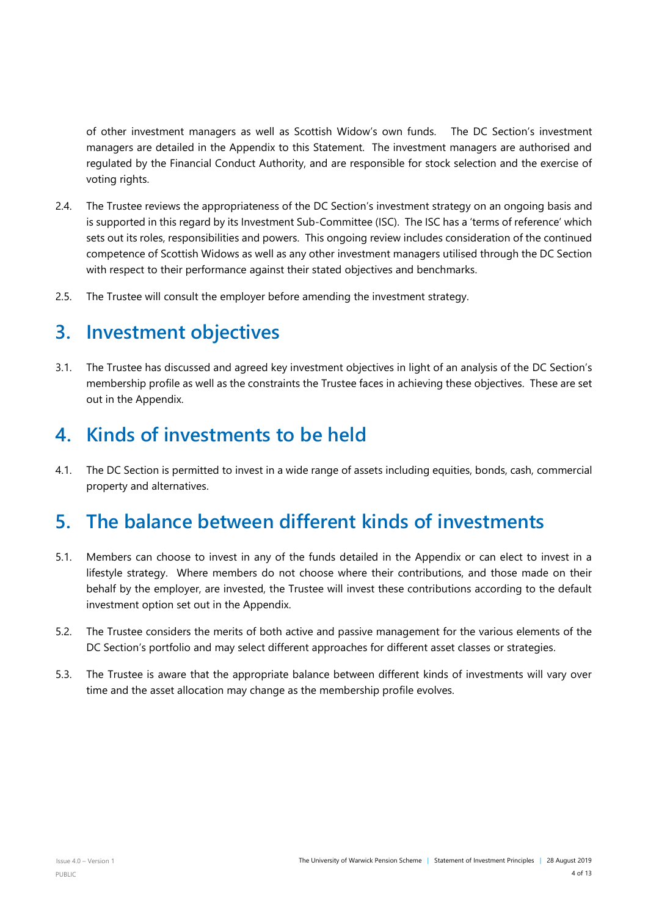of other investment managers as well as Scottish Widow's own funds. The DC Section's investment managers are detailed in the Appendix to this Statement. The investment managers are authorised and regulated by the Financial Conduct Authority, and are responsible for stock selection and the exercise of voting rights.

- 2.4. The Trustee reviews the appropriateness of the DC Section's investment strategy on an ongoing basis and is supported in this regard by its Investment Sub-Committee (ISC). The ISC has a 'terms of reference' which sets out its roles, responsibilities and powers. This ongoing review includes consideration of the continued competence of Scottish Widows as well as any other investment managers utilised through the DC Section with respect to their performance against their stated objectives and benchmarks.
- 2.5. The Trustee will consult the employer before amending the investment strategy.

# <span id="page-3-0"></span>**3. Investment objectives**

3.1. The Trustee has discussed and agreed key investment objectives in light of an analysis of the DC Section's membership profile as well as the constraints the Trustee faces in achieving these objectives. These are set out in the Appendix.

### <span id="page-3-1"></span>**4. Kinds of investments to be held**

4.1. The DC Section is permitted to invest in a wide range of assets including equities, bonds, cash, commercial property and alternatives.

### <span id="page-3-2"></span>**5. The balance between different kinds of investments**

- 5.1. Members can choose to invest in any of the funds detailed in the Appendix or can elect to invest in a lifestyle strategy. Where members do not choose where their contributions, and those made on their behalf by the employer, are invested, the Trustee will invest these contributions according to the default investment option set out in the Appendix.
- 5.2. The Trustee considers the merits of both active and passive management for the various elements of the DC Section's portfolio and may select different approaches for different asset classes or strategies.
- 5.3. The Trustee is aware that the appropriate balance between different kinds of investments will vary over time and the asset allocation may change as the membership profile evolves.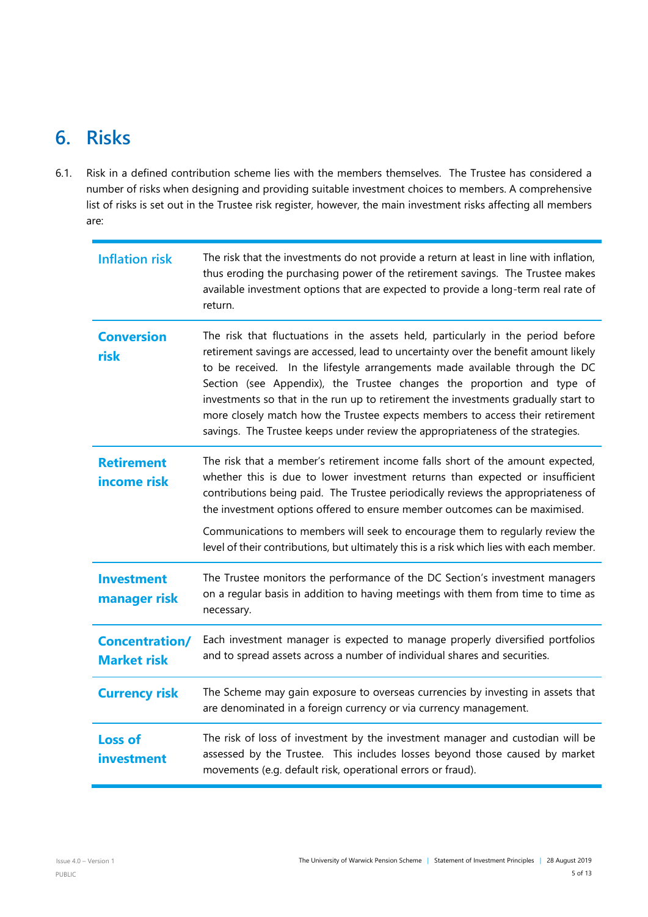# <span id="page-4-0"></span>**6. Risks**

6.1. Risk in a defined contribution scheme lies with the members themselves. The Trustee has considered a number of risks when designing and providing suitable investment choices to members. A comprehensive list of risks is set out in the Trustee risk register, however, the main investment risks affecting all members are:

| <b>Inflation risk</b>                       | The risk that the investments do not provide a return at least in line with inflation,<br>thus eroding the purchasing power of the retirement savings. The Trustee makes<br>available investment options that are expected to provide a long-term real rate of<br>return.                                                                                                                                                                                                                                                                                                                 |
|---------------------------------------------|-------------------------------------------------------------------------------------------------------------------------------------------------------------------------------------------------------------------------------------------------------------------------------------------------------------------------------------------------------------------------------------------------------------------------------------------------------------------------------------------------------------------------------------------------------------------------------------------|
| <b>Conversion</b><br>risk                   | The risk that fluctuations in the assets held, particularly in the period before<br>retirement savings are accessed, lead to uncertainty over the benefit amount likely<br>to be received. In the lifestyle arrangements made available through the DC<br>Section (see Appendix), the Trustee changes the proportion and type of<br>investments so that in the run up to retirement the investments gradually start to<br>more closely match how the Trustee expects members to access their retirement<br>savings. The Trustee keeps under review the appropriateness of the strategies. |
| <b>Retirement</b><br>income risk            | The risk that a member's retirement income falls short of the amount expected,<br>whether this is due to lower investment returns than expected or insufficient<br>contributions being paid. The Trustee periodically reviews the appropriateness of<br>the investment options offered to ensure member outcomes can be maximised.<br>Communications to members will seek to encourage them to regularly review the<br>level of their contributions, but ultimately this is a risk which lies with each member.                                                                           |
| <b>Investment</b><br>manager risk           | The Trustee monitors the performance of the DC Section's investment managers<br>on a regular basis in addition to having meetings with them from time to time as<br>necessary.                                                                                                                                                                                                                                                                                                                                                                                                            |
| <b>Concentration/</b><br><b>Market risk</b> | Each investment manager is expected to manage properly diversified portfolios<br>and to spread assets across a number of individual shares and securities.                                                                                                                                                                                                                                                                                                                                                                                                                                |
| <b>Currency risk</b>                        | The Scheme may gain exposure to overseas currencies by investing in assets that<br>are denominated in a foreign currency or via currency management.                                                                                                                                                                                                                                                                                                                                                                                                                                      |
| <b>Loss of</b><br>investment                | The risk of loss of investment by the investment manager and custodian will be<br>assessed by the Trustee. This includes losses beyond those caused by market<br>movements (e.g. default risk, operational errors or fraud).                                                                                                                                                                                                                                                                                                                                                              |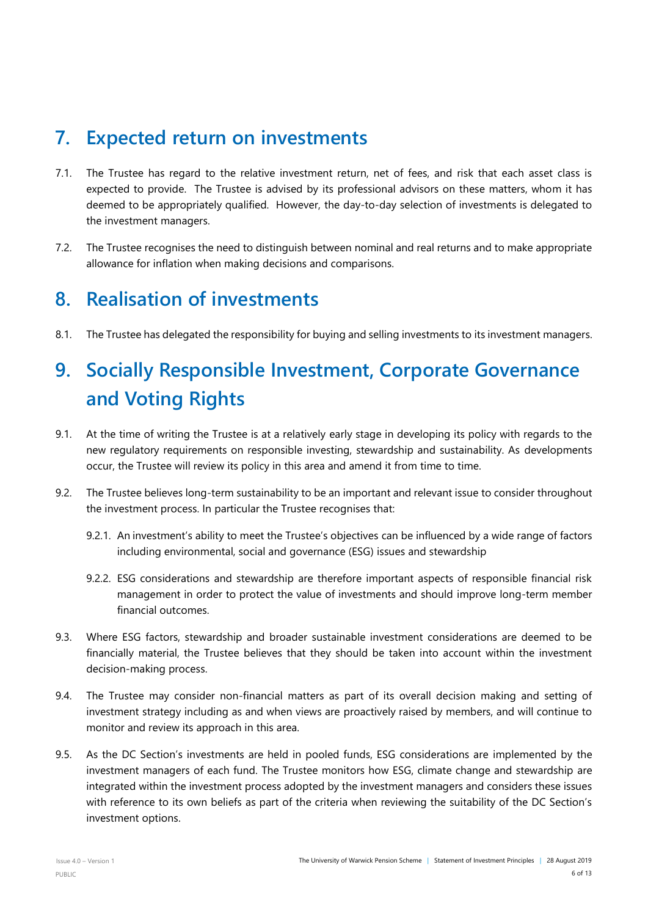# <span id="page-5-0"></span>**7. Expected return on investments**

- 7.1. The Trustee has regard to the relative investment return, net of fees, and risk that each asset class is expected to provide. The Trustee is advised by its professional advisors on these matters, whom it has deemed to be appropriately qualified. However, the day-to-day selection of investments is delegated to the investment managers.
- 7.2. The Trustee recognises the need to distinguish between nominal and real returns and to make appropriate allowance for inflation when making decisions and comparisons.

### <span id="page-5-1"></span>**8. Realisation of investments**

8.1. The Trustee has delegated the responsibility for buying and selling investments to its investment managers.

# <span id="page-5-2"></span>**9. Socially Responsible Investment, Corporate Governance and Voting Rights**

- 9.1. At the time of writing the Trustee is at a relatively early stage in developing its policy with regards to the new regulatory requirements on responsible investing, stewardship and sustainability. As developments occur, the Trustee will review its policy in this area and amend it from time to time.
- 9.2. The Trustee believes long-term sustainability to be an important and relevant issue to consider throughout the investment process. In particular the Trustee recognises that:
	- 9.2.1. An investment's ability to meet the Trustee's objectives can be influenced by a wide range of factors including environmental, social and governance (ESG) issues and stewardship
	- 9.2.2. ESG considerations and stewardship are therefore important aspects of responsible financial risk management in order to protect the value of investments and should improve long-term member financial outcomes.
- 9.3. Where ESG factors, stewardship and broader sustainable investment considerations are deemed to be financially material, the Trustee believes that they should be taken into account within the investment decision-making process.
- 9.4. The Trustee may consider non-financial matters as part of its overall decision making and setting of investment strategy including as and when views are proactively raised by members, and will continue to monitor and review its approach in this area.
- 9.5. As the DC Section's investments are held in pooled funds, ESG considerations are implemented by the investment managers of each fund. The Trustee monitors how ESG, climate change and stewardship are integrated within the investment process adopted by the investment managers and considers these issues with reference to its own beliefs as part of the criteria when reviewing the suitability of the DC Section's investment options.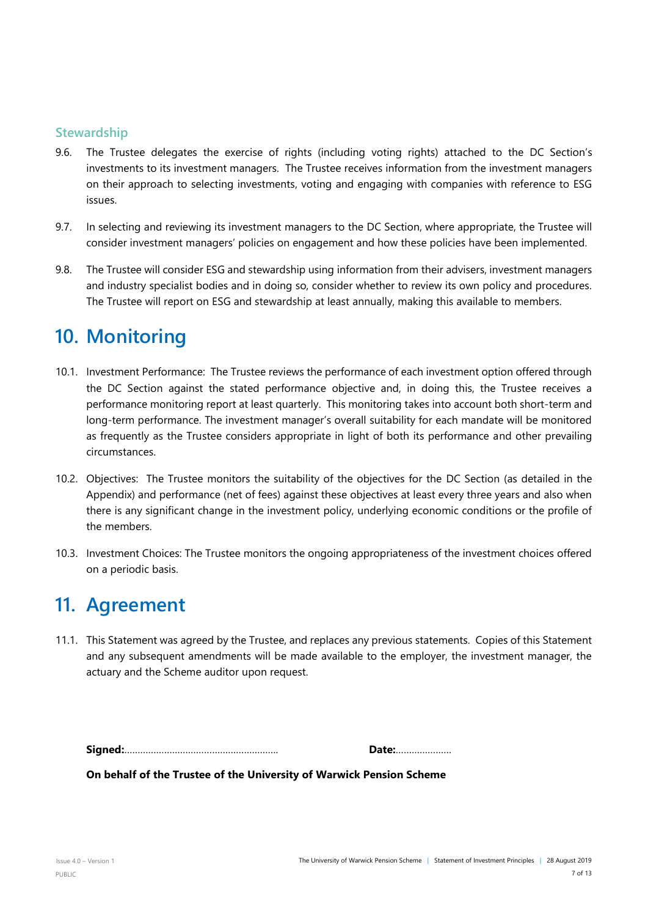#### **Stewardship**

- 9.6. The Trustee delegates the exercise of rights (including voting rights) attached to the DC Section's investments to its investment managers. The Trustee receives information from the investment managers on their approach to selecting investments, voting and engaging with companies with reference to ESG issues.
- 9.7. In selecting and reviewing its investment managers to the DC Section, where appropriate, the Trustee will consider investment managers' policies on engagement and how these policies have been implemented.
- 9.8. The Trustee will consider ESG and stewardship using information from their advisers, investment managers and industry specialist bodies and in doing so, consider whether to review its own policy and procedures. The Trustee will report on ESG and stewardship at least annually, making this available to members.

# <span id="page-6-0"></span>**10. Monitoring**

- 10.1. Investment Performance: The Trustee reviews the performance of each investment option offered through the DC Section against the stated performance objective and, in doing this, the Trustee receives a performance monitoring report at least quarterly. This monitoring takes into account both short-term and long-term performance. The investment manager's overall suitability for each mandate will be monitored as frequently as the Trustee considers appropriate in light of both its performance and other prevailing circumstances.
- 10.2. Objectives: The Trustee monitors the suitability of the objectives for the DC Section (as detailed in the Appendix) and performance (net of fees) against these objectives at least every three years and also when there is any significant change in the investment policy, underlying economic conditions or the profile of the members.
- 10.3. Investment Choices: The Trustee monitors the ongoing appropriateness of the investment choices offered on a periodic basis.

# <span id="page-6-1"></span>**11. Agreement**

11.1. This Statement was agreed by the Trustee, and replaces any previous statements. Copies of this Statement and any subsequent amendments will be made available to the employer, the investment manager, the actuary and the Scheme auditor upon request.

| Date: |
|-------|
|       |

**On behalf of the Trustee of the University of Warwick Pension Scheme**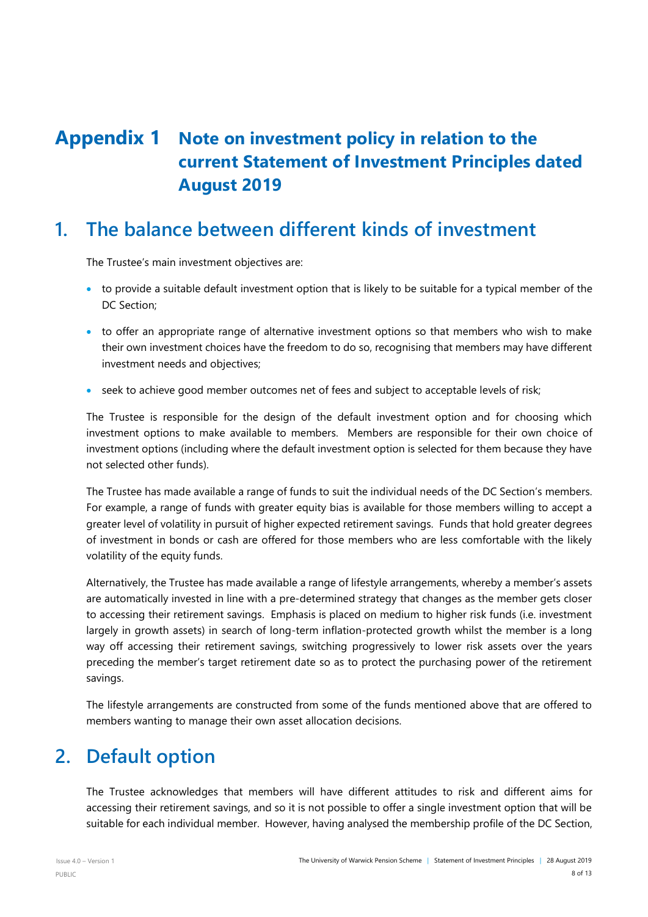# <span id="page-7-0"></span>**Appendix 1 Note on investment policy in relation to the current Statement of Investment Principles dated August 2019**

# **1. The balance between different kinds of investment**

The Trustee's main investment objectives are:

- to provide a suitable default investment option that is likely to be suitable for a typical member of the DC Section;
- to offer an appropriate range of alternative investment options so that members who wish to make their own investment choices have the freedom to do so, recognising that members may have different investment needs and objectives;
- seek to achieve good member outcomes net of fees and subject to acceptable levels of risk;

The Trustee is responsible for the design of the default investment option and for choosing which investment options to make available to members. Members are responsible for their own choice of investment options (including where the default investment option is selected for them because they have not selected other funds).

The Trustee has made available a range of funds to suit the individual needs of the DC Section's members. For example, a range of funds with greater equity bias is available for those members willing to accept a greater level of volatility in pursuit of higher expected retirement savings. Funds that hold greater degrees of investment in bonds or cash are offered for those members who are less comfortable with the likely volatility of the equity funds.

Alternatively, the Trustee has made available a range of lifestyle arrangements, whereby a member's assets are automatically invested in line with a pre-determined strategy that changes as the member gets closer to accessing their retirement savings. Emphasis is placed on medium to higher risk funds (i.e. investment largely in growth assets) in search of long-term inflation-protected growth whilst the member is a long way off accessing their retirement savings, switching progressively to lower risk assets over the years preceding the member's target retirement date so as to protect the purchasing power of the retirement savings.

The lifestyle arrangements are constructed from some of the funds mentioned above that are offered to members wanting to manage their own asset allocation decisions.

### **2. Default option**

The Trustee acknowledges that members will have different attitudes to risk and different aims for accessing their retirement savings, and so it is not possible to offer a single investment option that will be suitable for each individual member. However, having analysed the membership profile of the DC Section,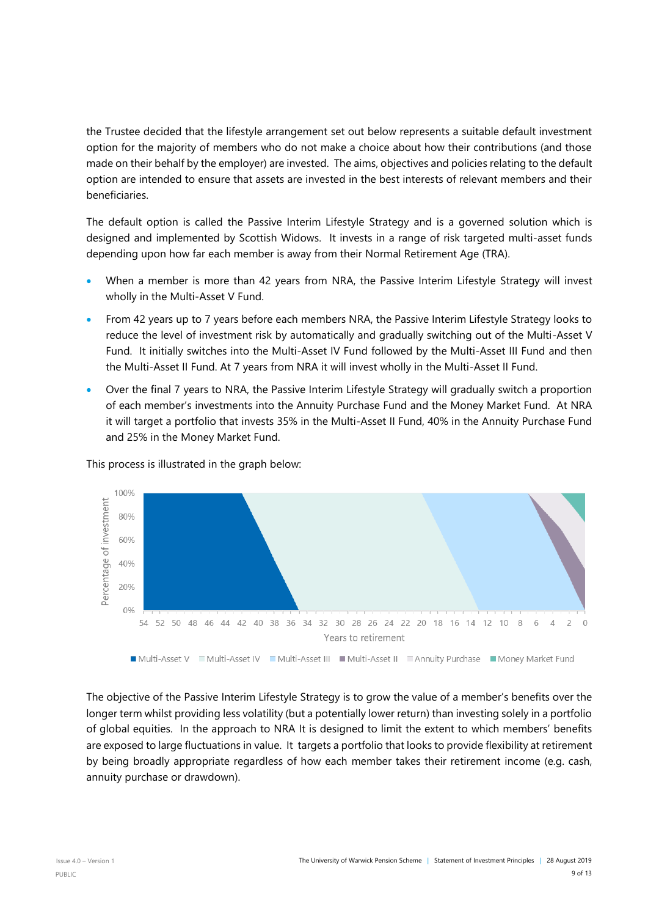the Trustee decided that the lifestyle arrangement set out below represents a suitable default investment option for the majority of members who do not make a choice about how their contributions (and those made on their behalf by the employer) are invested. The aims, objectives and policies relating to the default option are intended to ensure that assets are invested in the best interests of relevant members and their beneficiaries.

The default option is called the Passive Interim Lifestyle Strategy and is a governed solution which is designed and implemented by Scottish Widows. It invests in a range of risk targeted multi-asset funds depending upon how far each member is away from their Normal Retirement Age (TRA).

- When a member is more than 42 years from NRA, the Passive Interim Lifestyle Strategy will invest wholly in the Multi-Asset V Fund.
- From 42 years up to 7 years before each members NRA, the Passive Interim Lifestyle Strategy looks to reduce the level of investment risk by automatically and gradually switching out of the Multi-Asset V Fund. It initially switches into the Multi-Asset IV Fund followed by the Multi-Asset III Fund and then the Multi-Asset II Fund. At 7 years from NRA it will invest wholly in the Multi-Asset II Fund.
- Over the final 7 years to NRA, the Passive Interim Lifestyle Strategy will gradually switch a proportion of each member's investments into the Annuity Purchase Fund and the Money Market Fund. At NRA it will target a portfolio that invests 35% in the Multi-Asset II Fund, 40% in the Annuity Purchase Fund and 25% in the Money Market Fund.



This process is illustrated in the graph below:

The objective of the Passive Interim Lifestyle Strategy is to grow the value of a member's benefits over the longer term whilst providing less volatility (but a potentially lower return) than investing solely in a portfolio of global equities. In the approach to NRA It is designed to limit the extent to which members' benefits are exposed to large fluctuations in value. It targets a portfolio that looks to provide flexibility at retirement by being broadly appropriate regardless of how each member takes their retirement income (e.g. cash, annuity purchase or drawdown).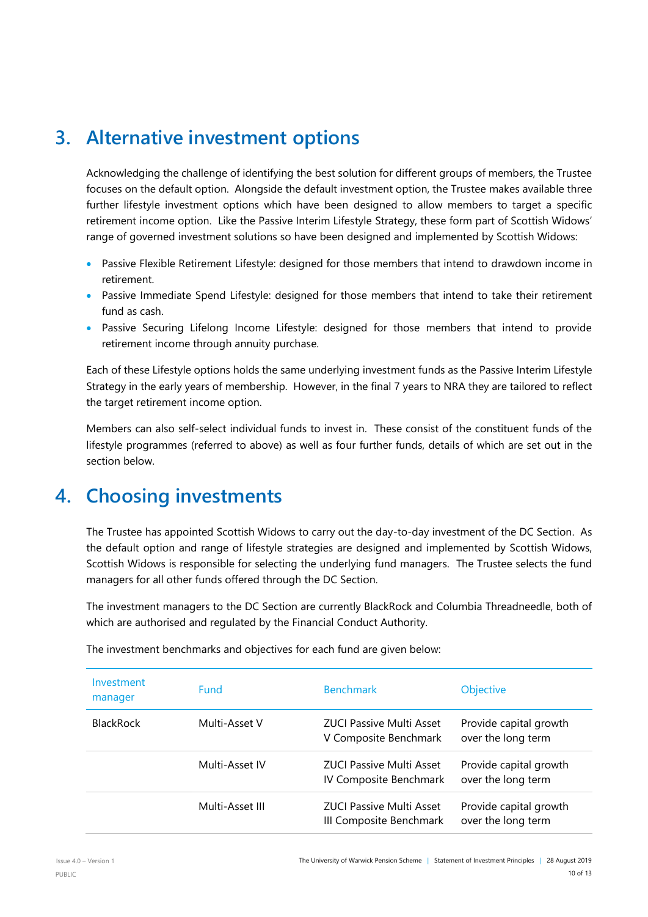### **3. Alternative investment options**

Acknowledging the challenge of identifying the best solution for different groups of members, the Trustee focuses on the default option. Alongside the default investment option, the Trustee makes available three further lifestyle investment options which have been designed to allow members to target a specific retirement income option. Like the Passive Interim Lifestyle Strategy, these form part of Scottish Widows' range of governed investment solutions so have been designed and implemented by Scottish Widows:

- Passive Flexible Retirement Lifestyle: designed for those members that intend to drawdown income in retirement.
- Passive Immediate Spend Lifestyle: designed for those members that intend to take their retirement fund as cash.
- Passive Securing Lifelong Income Lifestyle: designed for those members that intend to provide retirement income through annuity purchase.

Each of these Lifestyle options holds the same underlying investment funds as the Passive Interim Lifestyle Strategy in the early years of membership. However, in the final 7 years to NRA they are tailored to reflect the target retirement income option.

Members can also self-select individual funds to invest in. These consist of the constituent funds of the lifestyle programmes (referred to above) as well as four further funds, details of which are set out in the section below.

# **4. Choosing investments**

The Trustee has appointed Scottish Widows to carry out the day-to-day investment of the DC Section. As the default option and range of lifestyle strategies are designed and implemented by Scottish Widows, Scottish Widows is responsible for selecting the underlying fund managers. The Trustee selects the fund managers for all other funds offered through the DC Section.

The investment managers to the DC Section are currently BlackRock and Columbia Threadneedle, both of which are authorised and regulated by the Financial Conduct Authority.

| Investment<br>manager | <b>Fund</b>     | <b>Benchmark</b>                                           | Objective                                    |
|-----------------------|-----------------|------------------------------------------------------------|----------------------------------------------|
| <b>BlackRock</b>      | Multi-Asset V   | <b>ZUCI Passive Multi Asset</b><br>V Composite Benchmark   | Provide capital growth<br>over the long term |
|                       | Multi-Asset IV  | <b>ZUCI Passive Multi Asset</b><br>IV Composite Benchmark  | Provide capital growth<br>over the long term |
|                       | Multi-Asset III | <b>ZUCI Passive Multi Asset</b><br>III Composite Benchmark | Provide capital growth<br>over the long term |

The investment benchmarks and objectives for each fund are given below: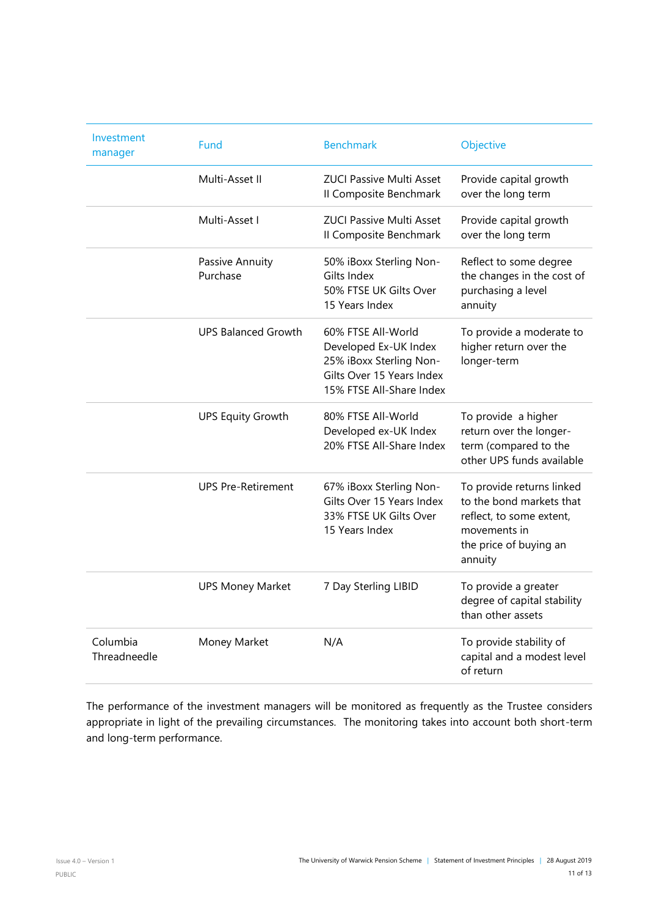| Investment<br>manager    | Fund                        | <b>Benchmark</b>                                                                                                                | Objective                                                                                                                              |
|--------------------------|-----------------------------|---------------------------------------------------------------------------------------------------------------------------------|----------------------------------------------------------------------------------------------------------------------------------------|
|                          | Multi-Asset II              | <b>ZUCI Passive Multi Asset</b><br>Il Composite Benchmark                                                                       | Provide capital growth<br>over the long term                                                                                           |
|                          | Multi-Asset I               | <b>ZUCL Passive Multi Asset</b><br>Il Composite Benchmark                                                                       | Provide capital growth<br>over the long term                                                                                           |
|                          | Passive Annuity<br>Purchase | 50% iBoxx Sterling Non-<br>Gilts Index<br>50% FTSE UK Gilts Over<br>15 Years Index                                              | Reflect to some degree<br>the changes in the cost of<br>purchasing a level<br>annuity                                                  |
|                          | <b>UPS Balanced Growth</b>  | 60% FTSE All-World<br>Developed Ex-UK Index<br>25% iBoxx Sterling Non-<br>Gilts Over 15 Years Index<br>15% FTSE All-Share Index | To provide a moderate to<br>higher return over the<br>longer-term                                                                      |
|                          | <b>UPS Equity Growth</b>    | 80% FTSE All-World<br>Developed ex-UK Index<br>20% FTSE All-Share Index                                                         | To provide a higher<br>return over the longer-<br>term (compared to the<br>other UPS funds available                                   |
|                          | <b>UPS Pre-Retirement</b>   | 67% iBoxx Sterling Non-<br>Gilts Over 15 Years Index<br>33% FTSE UK Gilts Over<br>15 Years Index                                | To provide returns linked<br>to the bond markets that<br>reflect, to some extent,<br>movements in<br>the price of buying an<br>annuity |
|                          | <b>UPS Money Market</b>     | 7 Day Sterling LIBID                                                                                                            | To provide a greater<br>degree of capital stability<br>than other assets                                                               |
| Columbia<br>Threadneedle | Money Market                | N/A                                                                                                                             | To provide stability of<br>capital and a modest level<br>of return                                                                     |

The performance of the investment managers will be monitored as frequently as the Trustee considers appropriate in light of the prevailing circumstances. The monitoring takes into account both short-term and long-term performance.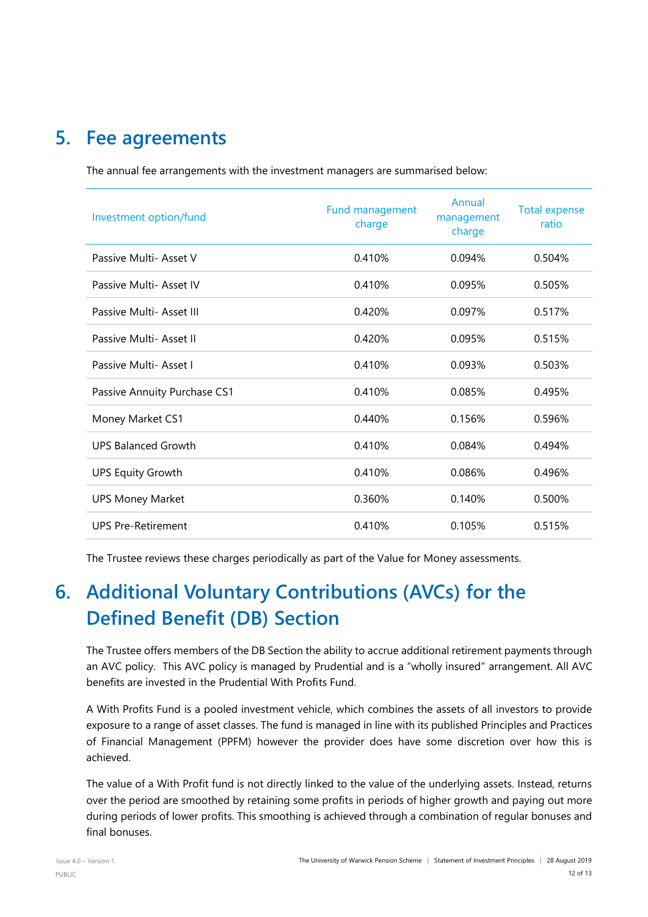# **5. Fee agreements**

The annual fee arrangements with the investment managers are summarised below:

| Investment option/fund       | Fund management<br>charge | Annual<br>management<br>charge | <b>Total expense</b><br>ratio |
|------------------------------|---------------------------|--------------------------------|-------------------------------|
| Passive Multi- Asset V       | 0.410%                    | 0.094%                         | 0.504%                        |
| Passive Multi- Asset IV      | 0.410%                    | 0.095%                         | 0.505%                        |
| Passive Multi- Asset III     | 0.420%                    | 0.097%                         | 0.517%                        |
| Passive Multi- Asset II      | 0.420%                    | 0.095%                         | 0.515%                        |
| Passive Multi-Asset I        | 0.410%                    | 0.093%                         | 0.503%                        |
| Passive Annuity Purchase CS1 | 0.410%                    | 0.085%                         | 0.495%                        |
| Money Market CS1             | 0.440%                    | 0.156%                         | 0.596%                        |
| <b>UPS Balanced Growth</b>   | 0.410%                    | 0.084%                         | 0.494%                        |
| <b>UPS Equity Growth</b>     | 0.410%                    | 0.086%                         | 0.496%                        |
| <b>UPS Money Market</b>      | 0.360%                    | 0.140%                         | 0.500%                        |
| <b>UPS Pre-Retirement</b>    | 0.410%                    | 0.105%                         | 0.515%                        |

The Trustee reviews these charges periodically as part of the Value for Money assessments.

# **6. Additional Voluntary Contributions (AVCs) for the Defined Benefit (DB) Section**

The Trustee offers members of the DB Section the ability to accrue additional retirement payments through an AVC policy. This AVC policy is managed by Prudential and is a "wholly insured" arrangement. All AVC benefits are invested in the Prudential With Profits Fund.

A With Profits Fund is a pooled investment vehicle, which combines the assets of all investors to provide exposure to a range of asset classes. The fund is managed in line with its published Principles and Practices of Financial Management (PPFM) however the provider does have some discretion over how this is achieved.

The value of a With Profit fund is not directly linked to the value of the underlying assets. Instead, returns over the period are smoothed by retaining some profits in periods of higher growth and paying out more during periods of lower profits. This smoothing is achieved through a combination of regular bonuses and final bonuses.